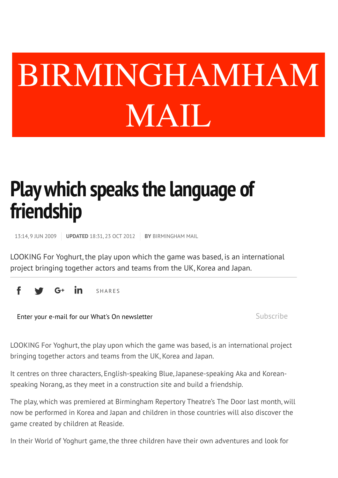## What *Keyword, event, venue or artist* When BIRMINGHAMHAM MAIL

## **Play which speaks the language of friendship**

13:14, 9 JUN 2009 **UPDATED** 18:31, 23 OCT 2012 **BY** BIRMINGHAM MAIL

LOOKING For Yoghurt, the play upon which the game was based, is an international project bringing together actors and teams from the UK, Korea and Japan.

-G+ in SHARES

Enter your e-mail for our What's On newsletter Subscribe

LOOKING For Yoghurt, the play upon which the game was based, is an international project bringing together actors and teams from the UK, Korea and Japan.

It centres on three characters, English-speaking Blue, Japanese-speaking Aka and Koreanspeaking Norang, as they meet in a construction site and build a friendship.

The play, which was premiered at Birmingham Repertory Theatre's The Door last month, will now be performed in Korea and Japan and children in those countries will also discover the game created by children at Reaside.

In their World of Yoghurt game, the three children have their own adventures and look for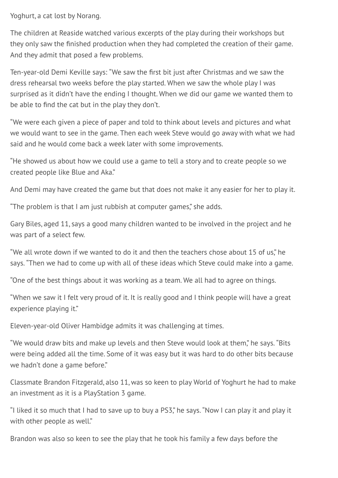Yoghurt, a cat lost by Norang.

The children at Reaside watched various excerpts of the play during their workshops but they only saw the finished production when they had completed the creation of their game. And they admit that posed a few problems.

Ten-year-old Demi Keville says: "We saw the first bit just after Christmas and we saw the dress rehearsal two weeks before the play started. When we saw the whole play I was surprised as it didn't have the ending I thought. When we did our game we wanted them to be able to find the cat but in the play they don't.

"We were each given a piece of paper and told to think about levels and pictures and what we would want to see in the game. Then each week Steve would go away with what we had said and he would come back a week later with some improvements.

"He showed us about how we could use a game to tell a story and to create people so we created people like Blue and Aka."

And Demi may have created the game but that does not make it any easier for her to play it.

"The problem is that I am just rubbish at computer games," she adds.

Gary Biles, aged 11, says a good many children wanted to be involved in the project and he was part of a select few.

"We all wrote down if we wanted to do it and then the teachers chose about 15 of us," he says. "Then we had to come up with all of these ideas which Steve could make into a game.

"One of the best things about it was working as a team. We all had to agree on things.

"When we saw it I felt very proud of it. It is really good and I think people will have a great experience playing it."

Eleven-year-old Oliver Hambidge admits it was challenging at times.

"We would draw bits and make up levels and then Steve would look at them," he says. "Bits were being added all the time. Some of it was easy but it was hard to do other bits because we hadn't done a game before."

Classmate Brandon Fitzgerald, also 11, was so keen to play World of Yoghurt he had to make an investment as it is a PlayStation 3 game.

"I liked it so much that I had to save up to buy a PS3," he says. "Now I can play it and play it with other people as well."

Brandon was also so keen to see the play that he took his family a few days before the